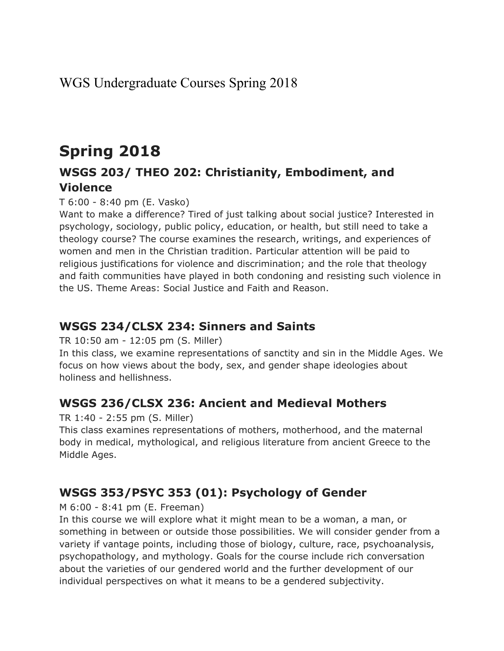# **Spring 2018**

## **WSGS 203/ THEO 202: Christianity, Embodiment, and Violence**

T 6:00 - 8:40 pm (E. Vasko)

Want to make a difference? Tired of just talking about social justice? Interested in psychology, sociology, public policy, education, or health, but still need to take a theology course? The course examines the research, writings, and experiences of women and men in the Christian tradition. Particular attention will be paid to religious justifications for violence and discrimination; and the role that theology and faith communities have played in both condoning and resisting such violence in the US. Theme Areas: Social Justice and Faith and Reason.

### **WSGS 234/CLSX 234: Sinners and Saints**

TR 10:50 am - 12:05 pm (S. Miller)

In this class, we examine representations of sanctity and sin in the Middle Ages. We focus on how views about the body, sex, and gender shape ideologies about holiness and hellishness.

### **WSGS 236/CLSX 236: Ancient and Medieval Mothers**

#### TR 1:40 - 2:55 pm (S. Miller)

This class examines representations of mothers, motherhood, and the maternal body in medical, mythological, and religious literature from ancient Greece to the Middle Ages.

### **WSGS 353/PSYC 353 (01): Psychology of Gender**

M 6:00 - 8:41 pm (E. Freeman)

In this course we will explore what it might mean to be a woman, a man, or something in between or outside those possibilities. We will consider gender from a variety if vantage points, including those of biology, culture, race, psychoanalysis, psychopathology, and mythology. Goals for the course include rich conversation about the varieties of our gendered world and the further development of our individual perspectives on what it means to be a gendered subjectivity.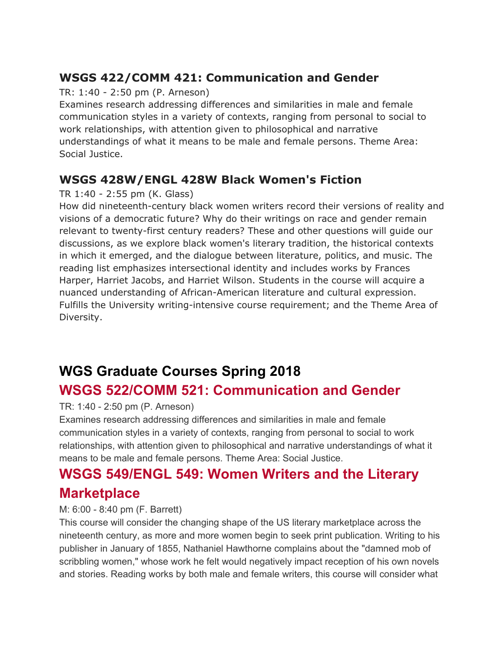## **WSGS 422/COMM 421: Communication and Gender**

#### TR: 1:40 - 2:50 pm (P. Arneson)

Examines research addressing differences and similarities in male and female communication styles in a variety of contexts, ranging from personal to social to work relationships, with attention given to philosophical and narrative understandings of what it means to be male and female persons. Theme Area: Social Justice.

### **WSGS 428W/ENGL 428W Black Women's Fiction**

#### TR 1:40 - 2:55 pm (K. Glass)

How did nineteenth-century black women writers record their versions of reality and visions of a democratic future? Why do their writings on race and gender remain relevant to twenty-first century readers? These and other questions will guide our discussions, as we explore black women's literary tradition, the historical contexts in which it emerged, and the dialogue between literature, politics, and music. The reading list emphasizes intersectional identity and includes works by Frances Harper, Harriet Jacobs, and Harriet Wilson. Students in the course will acquire a nuanced understanding of African-American literature and cultural expression. Fulfills the University writing-intensive course requirement; and the Theme Area of Diversity.

# **WGS Graduate Courses Spring 2018 WSGS 522/COMM 521: Communication and Gender**

#### TR: 1:40 - 2:50 pm (P. Arneson)

Examines research addressing differences and similarities in male and female communication styles in a variety of contexts, ranging from personal to social to work relationships, with attention given to philosophical and narrative understandings of what it means to be male and female persons. Theme Area: Social Justice.

## **WSGS 549/ENGL 549: Women Writers and the Literary Marketplace**

#### M: 6:00 - 8:40 pm (F. Barrett)

This course will consider the changing shape of the US literary marketplace across the nineteenth century, as more and more women begin to seek print publication. Writing to his publisher in January of 1855, Nathaniel Hawthorne complains about the "damned mob of scribbling women," whose work he felt would negatively impact reception of his own novels and stories. Reading works by both male and female writers, this course will consider what